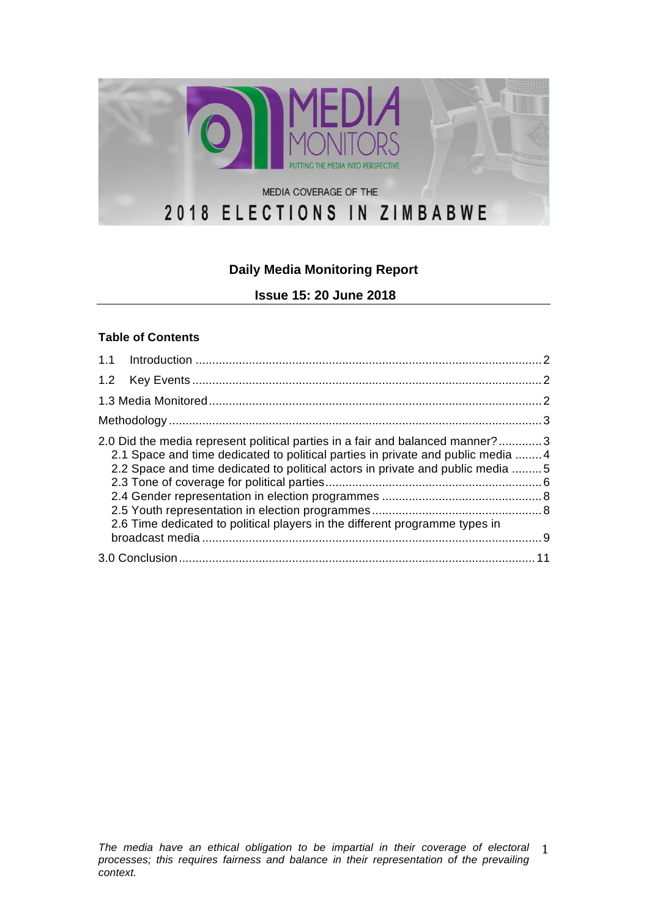

# **Daily Media Monitoring Report**

**Issue 15: 20 June 2018**

#### **Table of Contents**

| 2.0 Did the media represent political parties in a fair and balanced manner?3<br>2.1 Space and time dedicated to political parties in private and public media 4<br>2.2 Space and time dedicated to political actors in private and public media  5<br>2.6 Time dedicated to political players in the different programme types in |  |
|------------------------------------------------------------------------------------------------------------------------------------------------------------------------------------------------------------------------------------------------------------------------------------------------------------------------------------|--|
|                                                                                                                                                                                                                                                                                                                                    |  |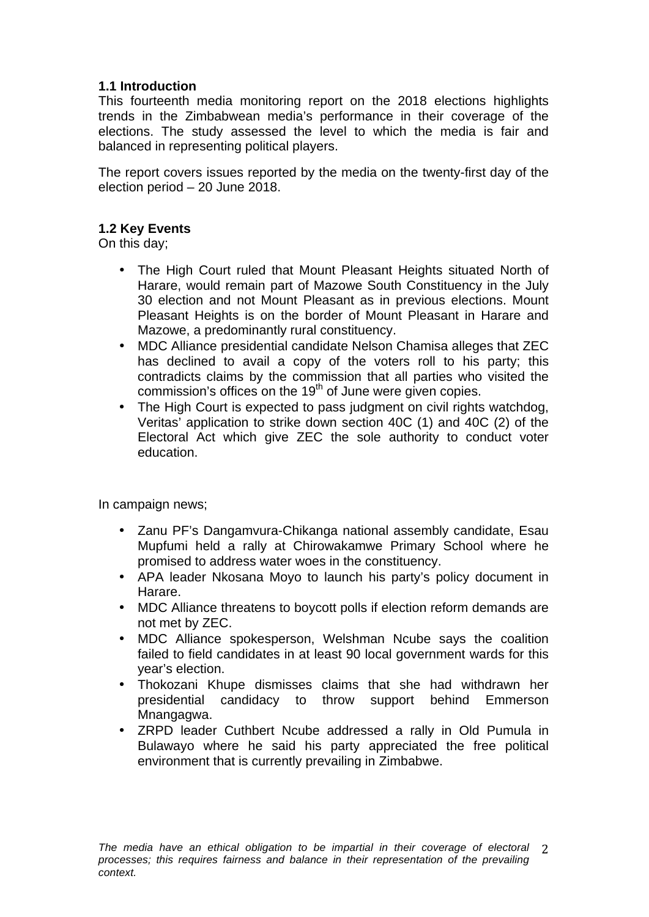## **1.1 Introduction**

This fourteenth media monitoring report on the 2018 elections highlights trends in the Zimbabwean media's performance in their coverage of the elections. The study assessed the level to which the media is fair and balanced in representing political players.

The report covers issues reported by the media on the twenty-first day of the election period – 20 June 2018.

### **1.2 Key Events**

On this day;

- The High Court ruled that Mount Pleasant Heights situated North of Harare, would remain part of Mazowe South Constituency in the July 30 election and not Mount Pleasant as in previous elections. Mount Pleasant Heights is on the border of Mount Pleasant in Harare and Mazowe, a predominantly rural constituency.
- MDC Alliance presidential candidate Nelson Chamisa alleges that ZEC has declined to avail a copy of the voters roll to his party; this contradicts claims by the commission that all parties who visited the commission's offices on the 19<sup>th</sup> of June were given copies.
- The High Court is expected to pass judgment on civil rights watchdog, Veritas' application to strike down section 40C (1) and 40C (2) of the Electoral Act which give ZEC the sole authority to conduct voter education.

In campaign news;

- Zanu PF's Dangamvura-Chikanga national assembly candidate, Esau Mupfumi held a rally at Chirowakamwe Primary School where he promised to address water woes in the constituency.
- APA leader Nkosana Moyo to launch his party's policy document in Harare.
- MDC Alliance threatens to boycott polls if election reform demands are not met by ZEC.
- MDC Alliance spokesperson, Welshman Ncube says the coalition failed to field candidates in at least 90 local government wards for this year's election.
- Thokozani Khupe dismisses claims that she had withdrawn her presidential candidacy to throw support behind Emmerson Mnangagwa.
- ZRPD leader Cuthbert Ncube addressed a rally in Old Pumula in Bulawayo where he said his party appreciated the free political environment that is currently prevailing in Zimbabwe.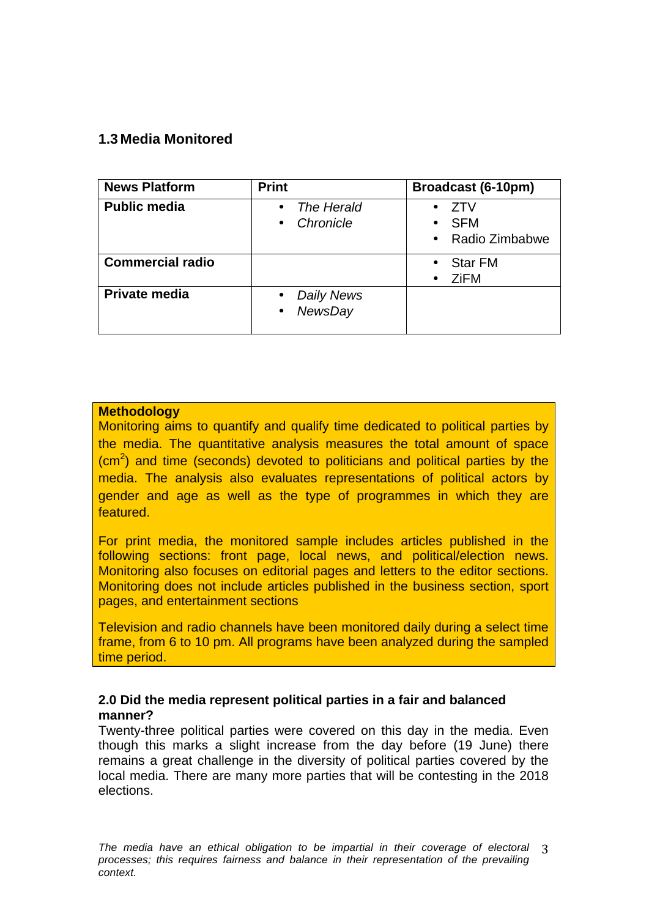# **1.3 Media Monitored**

| <b>News Platform</b>    | <b>Print</b>                                           | Broadcast (6-10pm)                                      |
|-------------------------|--------------------------------------------------------|---------------------------------------------------------|
| <b>Public media</b>     | The Herald<br>$\bullet$<br>Chronicle<br>$\bullet$      | 7TV<br><b>SFM</b><br>$\bullet$<br>• Radio Zimbabwe      |
| <b>Commercial radio</b> |                                                        | <b>Star FM</b><br>$\bullet$<br><b>ZiFM</b><br>$\bullet$ |
| Private media           | Daily News<br>$\bullet$<br><b>NewsDay</b><br>$\bullet$ |                                                         |

#### **Methodology**

Monitoring aims to quantify and qualify time dedicated to political parties by the media. The quantitative analysis measures the total amount of space (cm<sup>2</sup>) and time (seconds) devoted to politicians and political parties by the media. The analysis also evaluates representations of political actors by gender and age as well as the type of programmes in which they are featured.

For print media, the monitored sample includes articles published in the following sections: front page, local news, and political/election news. Monitoring also focuses on editorial pages and letters to the editor sections. Monitoring does not include articles published in the business section, sport pages, and entertainment sections

Television and radio channels have been monitored daily during a select time frame, from 6 to 10 pm. All programs have been analyzed during the sampled time period.

#### **2.0 Did the media represent political parties in a fair and balanced manner?**

Twenty-three political parties were covered on this day in the media. Even though this marks a slight increase from the day before (19 June) there remains a great challenge in the diversity of political parties covered by the local media. There are many more parties that will be contesting in the 2018 elections.

The media have an ethical obligation to be impartial in their coverage of electoral 3 *processes; this requires fairness and balance in their representation of the prevailing context.*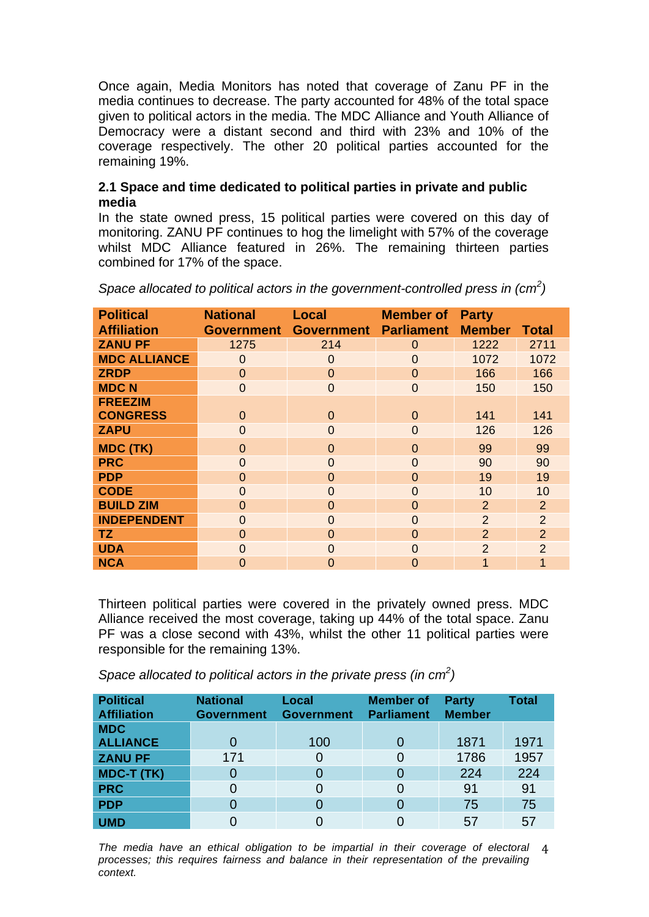Once again, Media Monitors has noted that coverage of Zanu PF in the media continues to decrease. The party accounted for 48% of the total space given to political actors in the media. The MDC Alliance and Youth Alliance of Democracy were a distant second and third with 23% and 10% of the coverage respectively. The other 20 political parties accounted for the remaining 19%.

### **2.1 Space and time dedicated to political parties in private and public media**

In the state owned press, 15 political parties were covered on this day of monitoring. ZANU PF continues to hog the limelight with 57% of the coverage whilst MDC Alliance featured in 26%. The remaining thirteen parties combined for 17% of the space.

| <b>Political</b>    | <b>National</b>   | <b>Local</b>      | <b>Member of</b>  | <b>Party</b>   |                |
|---------------------|-------------------|-------------------|-------------------|----------------|----------------|
| <b>Affiliation</b>  | <b>Government</b> | <b>Government</b> | <b>Parliament</b> | <b>Member</b>  | <b>Total</b>   |
| <b>ZANU PF</b>      | 1275              | 214               | $\overline{0}$    | 1222           | 2711           |
| <b>MDC ALLIANCE</b> | $\overline{0}$    | $\overline{0}$    | $\Omega$          | 1072           | 1072           |
| <b>ZRDP</b>         | $\overline{0}$    | $\Omega$          | $\Omega$          | 166            | 166            |
| <b>MDCN</b>         | $\overline{0}$    | $\overline{0}$    | $\overline{0}$    | 150            | 150            |
| <b>FREEZIM</b>      |                   |                   |                   |                |                |
| <b>CONGRESS</b>     | $\Omega$          | $\Omega$          | $\Omega$          | 141            | 141            |
| <b>ZAPU</b>         | $\overline{0}$    | $\Omega$          | $\Omega$          | 126            | 126            |
| <b>MDC (TK)</b>     | $\Omega$          | $\Omega$          | $\overline{0}$    | 99             | 99             |
| <b>PRC</b>          | $\Omega$          | $\Omega$          | $\Omega$          | 90             | 90             |
| <b>PDP</b>          | $\Omega$          | $\Omega$          | $\Omega$          | 19             | 19             |
| <b>CODE</b>         | $\Omega$          | $\Omega$          | $\Omega$          | 10             | 10             |
| <b>BUILD ZIM</b>    | $\Omega$          | $\Omega$          | $\Omega$          | $\overline{2}$ | 2              |
| <b>INDEPENDENT</b>  | $\Omega$          | $\Omega$          | $\Omega$          | $\overline{2}$ | 2              |
| TZ.                 | $\Omega$          | $\Omega$          | $\Omega$          | $\overline{2}$ | $\overline{2}$ |
| <b>UDA</b>          | $\Omega$          | $\Omega$          | $\Omega$          | $\overline{2}$ | $\overline{2}$ |
| <b>NCA</b>          | 0                 | 0                 | $\Omega$          | 1              |                |

*Space allocated to political actors in the government-controlled press in (cm<sup>2</sup> )*

Thirteen political parties were covered in the privately owned press. MDC Alliance received the most coverage, taking up 44% of the total space. Zanu PF was a close second with 43%, whilst the other 11 political parties were responsible for the remaining 13%.

*Space allocated to political actors in the private press (in cm<sup>2</sup> )*

| <b>Political</b><br><b>Affiliation</b> | <b>National</b><br><b>Government</b> | Local<br><b>Government</b> | <b>Member of</b><br><b>Parliament</b> | <b>Party</b><br><b>Member</b> | <b>Total</b> |
|----------------------------------------|--------------------------------------|----------------------------|---------------------------------------|-------------------------------|--------------|
| <b>MDC</b>                             |                                      |                            |                                       |                               |              |
| <b>ALLIANCE</b>                        | $\Omega$                             | 100                        | $\Omega$                              | 1871                          | 1971         |
| <b>ZANU PF</b>                         | 171                                  | 0                          | 0                                     | 1786                          | 1957         |
| MDC-T (TK)                             | $\Omega$                             | 0                          | $\Omega$                              | 224                           | 224          |
| <b>PRC</b>                             | 0                                    | 0                          | $\Omega$                              | 91                            | 91           |
| <b>PDP</b>                             | $\Omega$                             | 0                          | 0                                     | 75                            | 75           |
| <b>UMD</b>                             |                                      |                            |                                       | 57                            | 57           |

The media have an ethical obligation to be impartial in their coverage of electoral 4 *processes; this requires fairness and balance in their representation of the prevailing context.*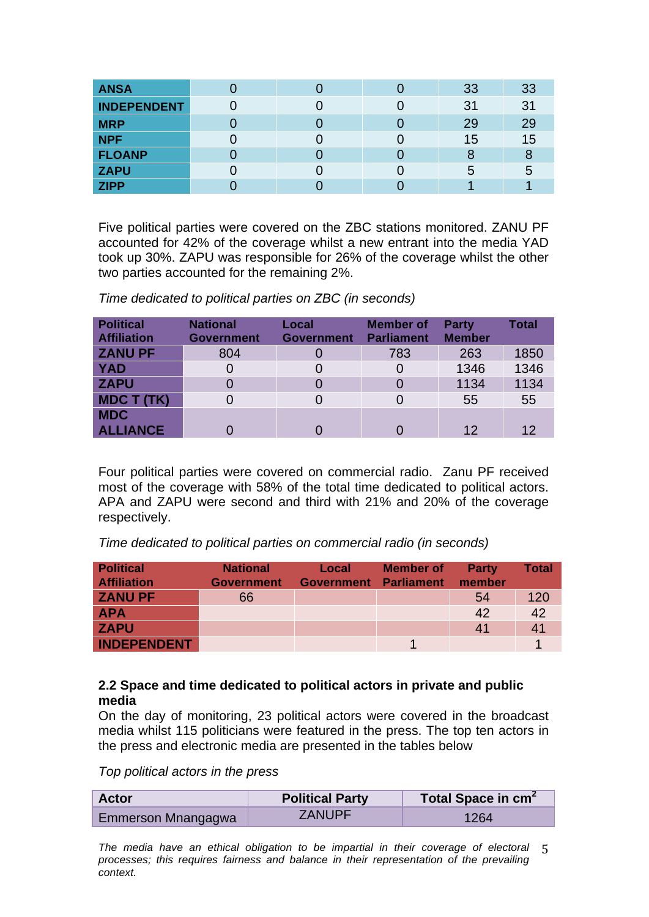| <b>ANSA</b>        |  | 33 | 33 |
|--------------------|--|----|----|
| <b>INDEPENDENT</b> |  | 31 | 31 |
| <b>MRP</b>         |  | 29 | 29 |
| <b>NPF</b>         |  | 15 | 15 |
| <b>FLOANP</b>      |  | 8  |    |
| <b>ZAPU</b>        |  | 5  | :5 |
| <b>ZIPP</b>        |  |    |    |

Five political parties were covered on the ZBC stations monitored. ZANU PF accounted for 42% of the coverage whilst a new entrant into the media YAD took up 30%. ZAPU was responsible for 26% of the coverage whilst the other two parties accounted for the remaining 2%.

*Time dedicated to political parties on ZBC (in seconds)* 

| <b>Political</b><br><b>Affiliation</b> | <b>National</b><br><b>Government</b> | Local<br><b>Government</b> | <b>Member of</b><br><b>Parliament</b> | <b>Party</b><br><b>Member</b> | <b>Total</b> |
|----------------------------------------|--------------------------------------|----------------------------|---------------------------------------|-------------------------------|--------------|
| <b>ZANU PF</b>                         | 804                                  |                            | 783                                   | 263                           | 1850         |
| <b>YAD</b>                             | 0                                    |                            |                                       | 1346                          | 1346         |
| <b>ZAPU</b>                            | 0                                    |                            | O                                     | 1134                          | 1134         |
| <b>MDC T (TK)</b>                      | 0                                    |                            |                                       | 55                            | 55           |
| <b>MDC</b>                             |                                      |                            |                                       |                               |              |
| <b>ALLIANCE</b>                        |                                      |                            |                                       | 12                            |              |

Four political parties were covered on commercial radio. Zanu PF received most of the coverage with 58% of the total time dedicated to political actors. APA and ZAPU were second and third with 21% and 20% of the coverage respectively.

*Time dedicated to political parties on commercial radio (in seconds)* 

| <b>Political</b><br><b>Affiliation</b> | <b>National</b><br><b>Government</b> | Local<br><b>Government</b> | <b>Member of</b><br>Parliament | <b>Party</b><br>member | <b>Total</b> |
|----------------------------------------|--------------------------------------|----------------------------|--------------------------------|------------------------|--------------|
| <b>ZANU PF</b>                         | 66                                   |                            |                                | 54                     | 120          |
| <b>APA</b>                             |                                      |                            |                                | 42                     | 42           |
| <b>ZAPU</b>                            |                                      |                            |                                | 41                     | 41           |
| <b>INDEPENDENT</b>                     |                                      |                            |                                |                        |              |

### **2.2 Space and time dedicated to political actors in private and public media**

On the day of monitoring, 23 political actors were covered in the broadcast media whilst 115 politicians were featured in the press. The top ten actors in the press and electronic media are presented in the tables below

*Top political actors in the press* 

| <b>Actor</b>       | <b>Political Party</b> | Total Space in cm <sup>2</sup> |
|--------------------|------------------------|--------------------------------|
| Emmerson Mnangagwa | ZANUPF                 | 1264                           |

*The media have an ethical obligation to be impartial in their coverage of electoral*  5 *processes; this requires fairness and balance in their representation of the prevailing context.*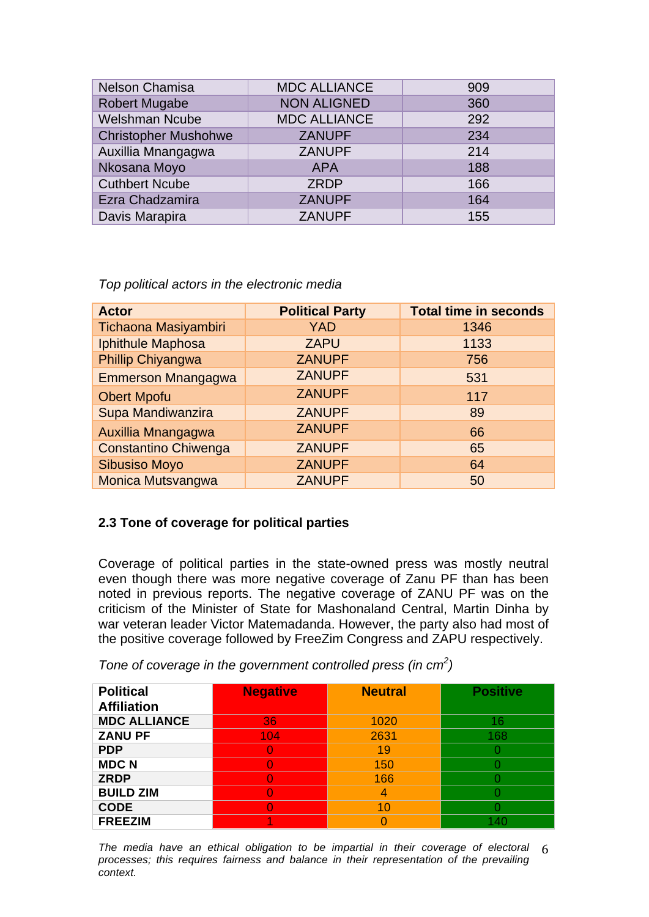| Nelson Chamisa              | <b>MDC ALLIANCE</b> | 909 |
|-----------------------------|---------------------|-----|
| <b>Robert Mugabe</b>        | <b>NON ALIGNED</b>  | 360 |
| <b>Welshman Ncube</b>       | <b>MDC ALLIANCE</b> | 292 |
| <b>Christopher Mushohwe</b> | <b>ZANUPF</b>       | 234 |
| Auxillia Mnangagwa          | <b>ZANUPF</b>       | 214 |
| Nkosana Moyo                | <b>APA</b>          | 188 |
| <b>Cuthbert Ncube</b>       | <b>ZRDP</b>         | 166 |
| Ezra Chadzamira             | <b>ZANUPF</b>       | 164 |
| Davis Marapira              | <b>ZANUPF</b>       | 155 |

*Top political actors in the electronic media* 

| <b>Actor</b>                | <b>Political Party</b> | <b>Total time in seconds</b> |
|-----------------------------|------------------------|------------------------------|
| Tichaona Masiyambiri        | <b>YAD</b>             | 1346                         |
| Iphithule Maphosa           | <b>ZAPU</b>            | 1133                         |
| Phillip Chiyangwa           | <b>ZANUPF</b>          | 756                          |
| <b>Emmerson Mnangagwa</b>   | <b>ZANUPF</b>          | 531                          |
| <b>Obert Mpofu</b>          | <b>ZANUPF</b>          | 117                          |
| Supa Mandiwanzira           | <b>ZANUPF</b>          | 89                           |
| Auxillia Mnangagwa          | <b>ZANUPF</b>          | 66                           |
| <b>Constantino Chiwenga</b> | <b>ZANUPF</b>          | 65                           |
| <b>Sibusiso Moyo</b>        | <b>ZANUPF</b>          | 64                           |
| <b>Monica Mutsvangwa</b>    | <b>ZANUPF</b>          | 50                           |

## **2.3 Tone of coverage for political parties**

Coverage of political parties in the state-owned press was mostly neutral even though there was more negative coverage of Zanu PF than has been noted in previous reports. The negative coverage of ZANU PF was on the criticism of the Minister of State for Mashonaland Central, Martin Dinha by war veteran leader Victor Matemadanda. However, the party also had most of the positive coverage followed by FreeZim Congress and ZAPU respectively.

*Tone of coverage in the government controlled press (in cm<sup>2</sup> )*

| <b>Political</b><br><b>Affiliation</b> | <b>Negative</b> | <b>Neutral</b> | <b>Positive</b> |
|----------------------------------------|-----------------|----------------|-----------------|
| <b>MDC ALLIANCE</b>                    | 36              | 1020           | 16              |
| <b>ZANU PF</b>                         | 104             | 2631           | 168             |
| <b>PDP</b>                             |                 | 19             |                 |
| <b>MDCN</b>                            |                 | 150            |                 |
| <b>ZRDP</b>                            |                 | 166            |                 |
| <b>BUILD ZIM</b>                       |                 |                |                 |
| <b>CODE</b>                            |                 | 10             |                 |
| <b>FREEZIM</b>                         |                 |                | 40              |

*The media have an ethical obligation to be impartial in their coverage of electoral*  6 *processes; this requires fairness and balance in their representation of the prevailing context.*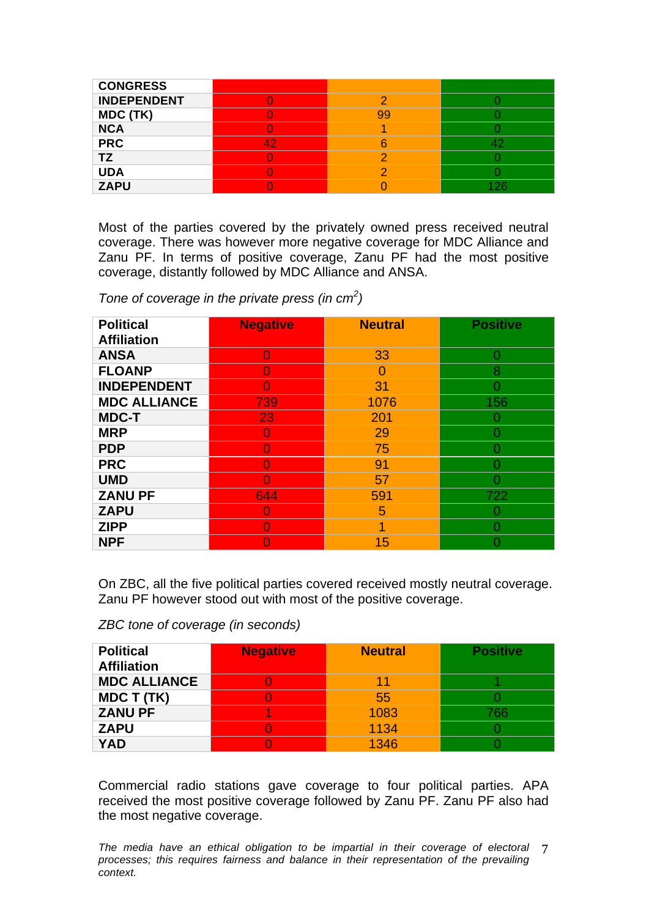| <b>CONGRESS</b>    |   |    |  |
|--------------------|---|----|--|
| <b>INDEPENDENT</b> |   |    |  |
| MDC (TK)           |   | ററ |  |
| <b>NCA</b>         |   |    |  |
| <b>PRC</b>         | 4 |    |  |
| <b>TZ</b>          |   |    |  |
| <b>UDA</b>         |   |    |  |
| <b>ZAPU</b>        |   |    |  |

Most of the parties covered by the privately owned press received neutral coverage. There was however more negative coverage for MDC Alliance and Zanu PF. In terms of positive coverage, Zanu PF had the most positive coverage, distantly followed by MDC Alliance and ANSA.

*Tone of coverage in the private press (in cm<sup>2</sup> )*

| <b>Political</b>    | <b>Negative</b> | <b>Neutral</b> | <b>Positive</b> |
|---------------------|-----------------|----------------|-----------------|
| <b>Affiliation</b>  |                 |                |                 |
| <b>ANSA</b>         | O               | 33             | O               |
| <b>FLOANP</b>       |                 |                | 8               |
| <b>INDEPENDENT</b>  | O               | 31             |                 |
| <b>MDC ALLIANCE</b> | 739             | 1076           | 156             |
| <b>MDC-T</b>        | 23              | 201            |                 |
| <b>MRP</b>          |                 | 29             |                 |
| <b>PDP</b>          |                 | 75             |                 |
| <b>PRC</b>          |                 | 91             |                 |
| <b>UMD</b>          |                 | 57             |                 |
| <b>ZANU PF</b>      | 644             | 591            | 722             |
| <b>ZAPU</b>         |                 | 5              |                 |
| <b>ZIPP</b>         |                 | ◢              |                 |
| <b>NPF</b>          |                 | 15             |                 |

On ZBC, all the five political parties covered received mostly neutral coverage. Zanu PF however stood out with most of the positive coverage.

*ZBC tone of coverage (in seconds)* 

| <b>Political</b><br><b>Affiliation</b> | <b>Negative</b> | <b>Neutral</b> | <b>Positive</b> |
|----------------------------------------|-----------------|----------------|-----------------|
| <b>MDC ALLIANCE</b>                    |                 | 1              |                 |
| <b>MDC T (TK)</b>                      |                 | 55             |                 |
| <b>ZANU PF</b>                         |                 | 1083           | 766             |
| <b>ZAPU</b>                            |                 | 1134           |                 |
| YAD                                    |                 | 1346           |                 |

Commercial radio stations gave coverage to four political parties. APA received the most positive coverage followed by Zanu PF. Zanu PF also had the most negative coverage.

The media have an ethical obligation to be impartial in their coverage of electoral 7 *processes; this requires fairness and balance in their representation of the prevailing context.*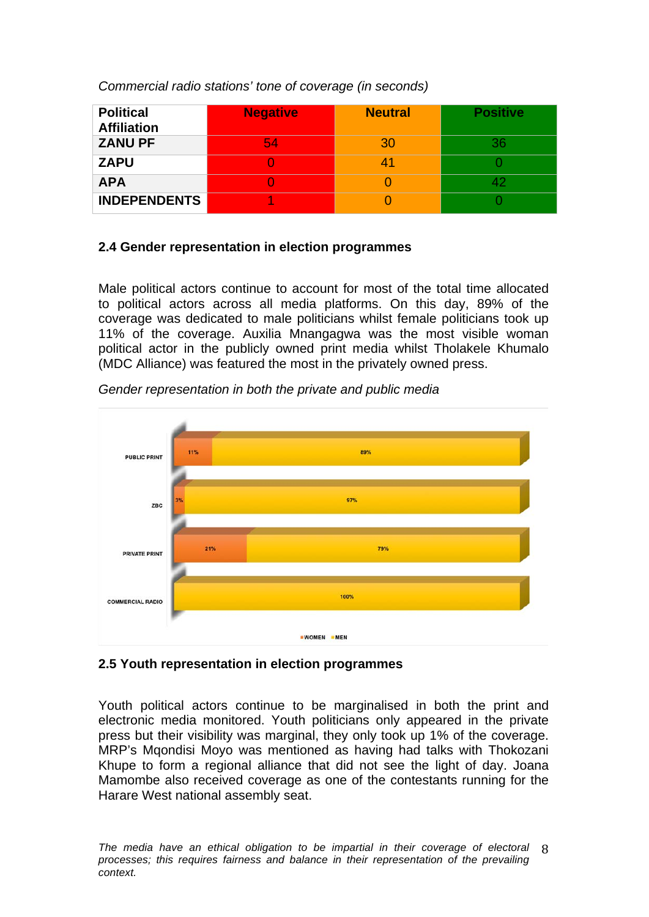*Commercial radio stations' tone of coverage (in seconds)*

| <b>Political</b><br><b>Affiliation</b> | <b>Negative</b> | <b>Neutral</b> | <b>Positive</b> |
|----------------------------------------|-----------------|----------------|-----------------|
| <b>ZANU PF</b>                         | 54              | 30             | 36              |
| <b>ZAPU</b>                            |                 | 41             |                 |
| <b>APA</b>                             |                 |                |                 |
| <b>INDEPENDENTS</b>                    |                 |                |                 |

# **2.4 Gender representation in election programmes**

Male political actors continue to account for most of the total time allocated to political actors across all media platforms. On this day, 89% of the coverage was dedicated to male politicians whilst female politicians took up 11% of the coverage. Auxilia Mnangagwa was the most visible woman political actor in the publicly owned print media whilst Tholakele Khumalo (MDC Alliance) was featured the most in the privately owned press.

![](_page_7_Figure_4.jpeg)

*Gender representation in both the private and public media* 

## **2.5 Youth representation in election programmes**

Youth political actors continue to be marginalised in both the print and electronic media monitored. Youth politicians only appeared in the private press but their visibility was marginal, they only took up 1% of the coverage. MRP's Mqondisi Moyo was mentioned as having had talks with Thokozani Khupe to form a regional alliance that did not see the light of day. Joana Mamombe also received coverage as one of the contestants running for the Harare West national assembly seat.

The media have an ethical obligation to be impartial in their coverage of electoral 8 *processes; this requires fairness and balance in their representation of the prevailing context.*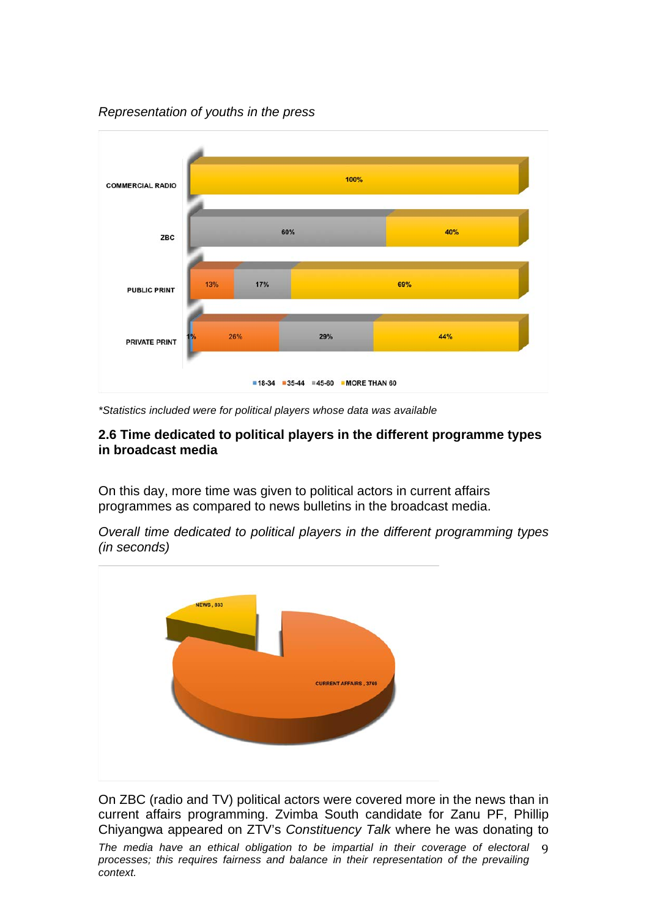*Representation of youths in the press* 

![](_page_8_Figure_1.jpeg)

*\*Statistics included were for political players whose data was available*

### **2.6 Time dedicated to political players in the different programme types in broadcast media**

On this day, more time was given to political actors in current affairs programmes as compared to news bulletins in the broadcast media.

*Overall time dedicated to political players in the different programming types (in seconds)*

![](_page_8_Figure_6.jpeg)

On ZBC (radio and TV) political actors were covered more in the news than in current affairs programming. Zvimba South candidate for Zanu PF, Phillip Chiyangwa appeared on ZTV's *Constituency Talk* where he was donating to

The media have an ethical obligation to be impartial in their coverage of electoral 9 *processes; this requires fairness and balance in their representation of the prevailing context.*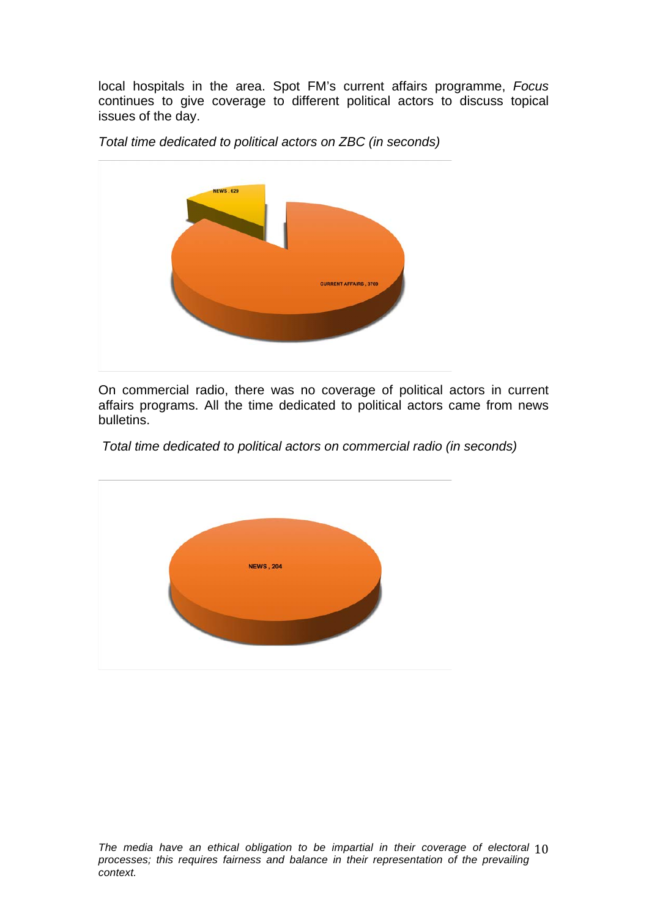local hospitals in the area. Spot FM's current affairs programme, *Focus* continues to give coverage to different political actors to discuss topical issues of the day.

**NEWS.629 CURRENT AFFAIRS**, 3769

*Total time dedicated to political actors on ZBC (in seconds)*

On commercial radio, there was no coverage of political actors in current affairs programs. All the time dedicated to political actors came from news bulletins.

*Total time dedicated to political actors on commercial radio (in seconds)* 

![](_page_9_Figure_5.jpeg)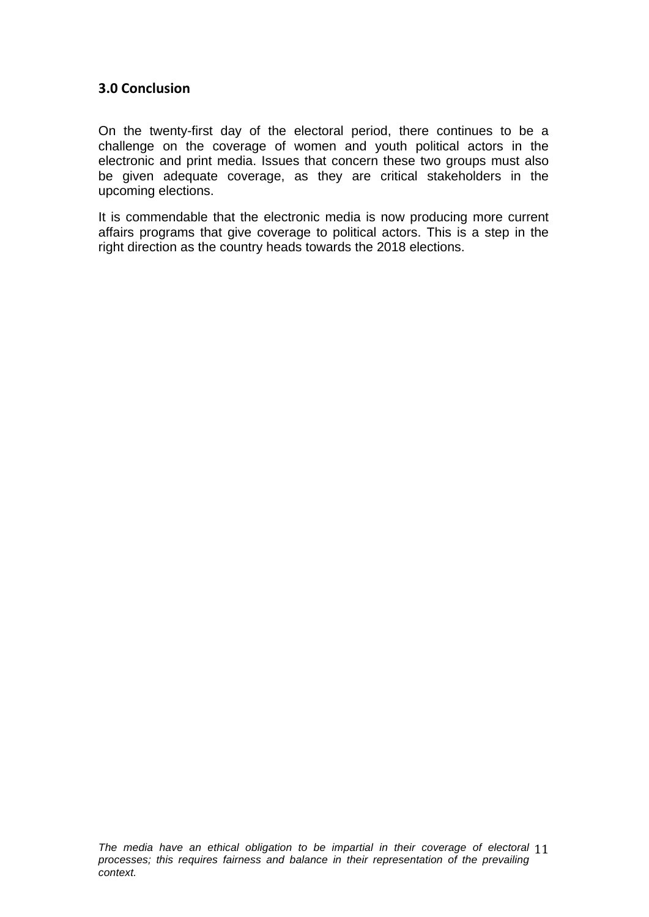## **3.0 Conclusion**

On the twenty-first day of the electoral period, there continues to be a challenge on the coverage of women and youth political actors in the electronic and print media. Issues that concern these two groups must also be given adequate coverage, as they are critical stakeholders in the upcoming elections.

It is commendable that the electronic media is now producing more current affairs programs that give coverage to political actors. This is a step in the right direction as the country heads towards the 2018 elections.